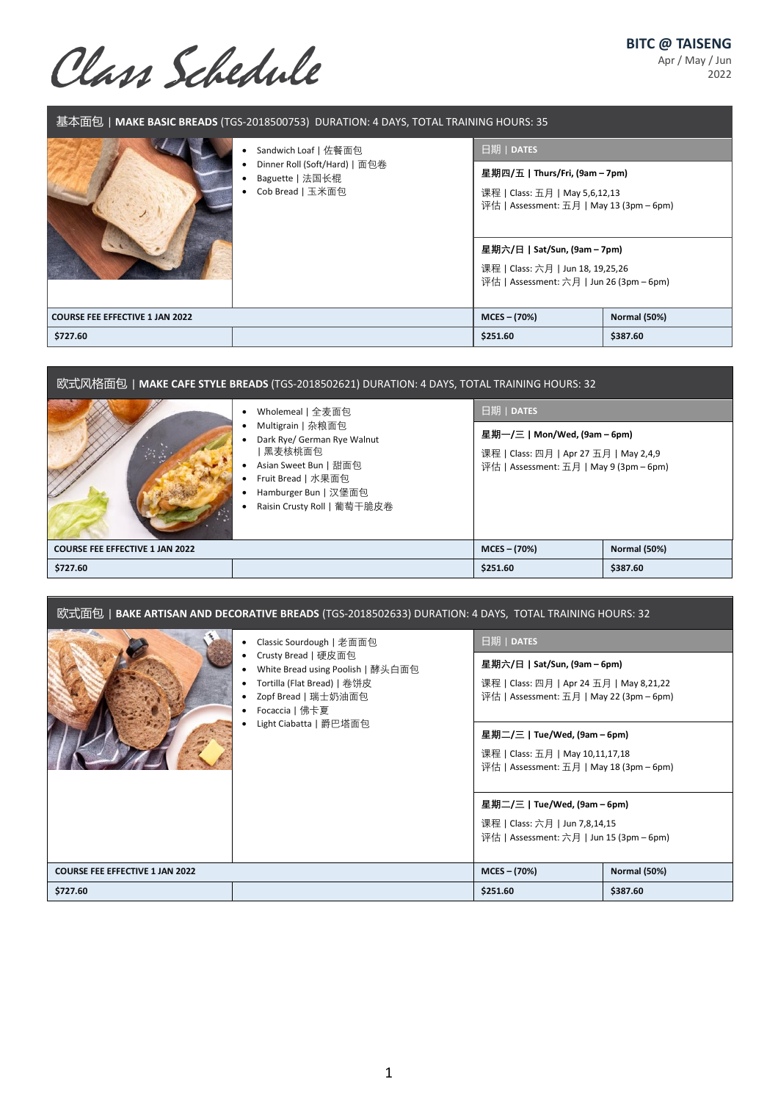**BITC @ TAISENG**

Apr / May / Jun 2022

Class Schedule

| 基本面包 MAKE BASIC BREADS (TGS-2018500753) DURATION: 4 DAYS, TOTAL TRAINING HOURS: 35 |                                                                      |                                                                                                                                                                                                                               |                     |  |
|------------------------------------------------------------------------------------|----------------------------------------------------------------------|-------------------------------------------------------------------------------------------------------------------------------------------------------------------------------------------------------------------------------|---------------------|--|
|                                                                                    | Sandwich Loaf   佐餐面包                                                 | 日期   DATES                                                                                                                                                                                                                    |                     |  |
|                                                                                    | Dinner Roll (Soft/Hard)   面包卷<br>Baguette   法国长棍<br>Cob Bread   玉米面包 | 星期四/五   Thurs/Fri, (9am – 7pm)<br>课程   Class: 五月   May 5,6,12,13<br>评估   Assessment: 五月   May 13 (3pm – 6pm)<br>星期六/日   Sat/Sun, (9am – 7pm)<br>课程   Class: 六月   Jun 18, 19,25,26<br>评估   Assessment: 六月   Jun 26 (3pm – 6pm) |                     |  |
| <b>COURSE FEE EFFECTIVE 1 JAN 2022</b>                                             |                                                                      | $MCES - (70%)$                                                                                                                                                                                                                | <b>Normal (50%)</b> |  |
| \$727.60                                                                           |                                                                      | \$251.60                                                                                                                                                                                                                      | \$387.60            |  |

| 欧式风格面包   MAKE CAFE STYLE BREADS (TGS-2018502621) DURATION: 4 DAYS, TOTAL TRAINING HOURS: 32 |                                                                                                                                                                                       |                                                                                                                                 |          |  |
|---------------------------------------------------------------------------------------------|---------------------------------------------------------------------------------------------------------------------------------------------------------------------------------------|---------------------------------------------------------------------------------------------------------------------------------|----------|--|
|                                                                                             | Wholemeal   全麦面包<br>Multigrain   杂粮面包<br>Dark Rye/ German Rye Walnut<br> 黑麦核桃面包<br>Asian Sweet Bun   甜面包<br>Fruit Bread   水果面包<br>Hamburger Bun   汉堡面包<br>Raisin Crusty Roll   葡萄干脆皮卷 | 日期   DATES<br>星期一/三   Mon/Wed, (9am – 6pm)<br>课程   Class: 四月   Apr 27 五月   May 2,4,9<br>评估   Assessment: 五月   May 9 (3pm – 6pm) |          |  |
| <b>Normal (50%)</b><br>$MCES - (70%)$<br><b>COURSE FEE EFFECTIVE 1 JAN 2022</b>             |                                                                                                                                                                                       |                                                                                                                                 |          |  |
| \$727.60                                                                                    |                                                                                                                                                                                       | \$251.60                                                                                                                        | \$387.60 |  |

| 欧式面包   <b>BAKE ARTISAN AND DECORATIVE BREADS</b> (TGS-2018502633) DURATION: 4 DAYS, TOTAL TRAINING HOURS: 32 |                                                                                                                                                                                        |                                                                                                                                    |                     |  |
|--------------------------------------------------------------------------------------------------------------|----------------------------------------------------------------------------------------------------------------------------------------------------------------------------------------|------------------------------------------------------------------------------------------------------------------------------------|---------------------|--|
|                                                                                                              | Classic Sourdough   老面面包<br>Crusty Bread   硬皮面包<br>White Bread using Poolish   酵头白面包<br>Tortilla (Flat Bread)   卷饼皮<br>Zopf Bread   瑞士奶油面包<br>Focaccia   佛卡夏<br>Light Ciabatta   爵巴塔面包 | 日期   DATES<br>星期六/日   Sat/Sun, (9am – 6pm)<br>课程   Class: 四月   Apr 24 五月   May 8,21,22<br>评估   Assessment: 五月   May 22 (3pm – 6pm) |                     |  |
|                                                                                                              |                                                                                                                                                                                        | 星期二/三   Tue/Wed, (9am – 6pm)<br>课程   Class: 五月   May 10,11,17,18<br>评估   Assessment: 五月   May 18 (3pm – 6pm)                       |                     |  |
|                                                                                                              |                                                                                                                                                                                        | 星期二/三   Tue/Wed, (9am – 6pm)<br>课程   Class: 六月   Jun 7,8,14,15<br>评估   Assessment: 六月   Jun 15 (3pm – 6pm)                         |                     |  |
| <b>COURSE FEE EFFECTIVE 1 JAN 2022</b>                                                                       |                                                                                                                                                                                        | $MCES - (70%)$                                                                                                                     | <b>Normal (50%)</b> |  |
| \$727.60                                                                                                     |                                                                                                                                                                                        | \$251.60                                                                                                                           | \$387.60            |  |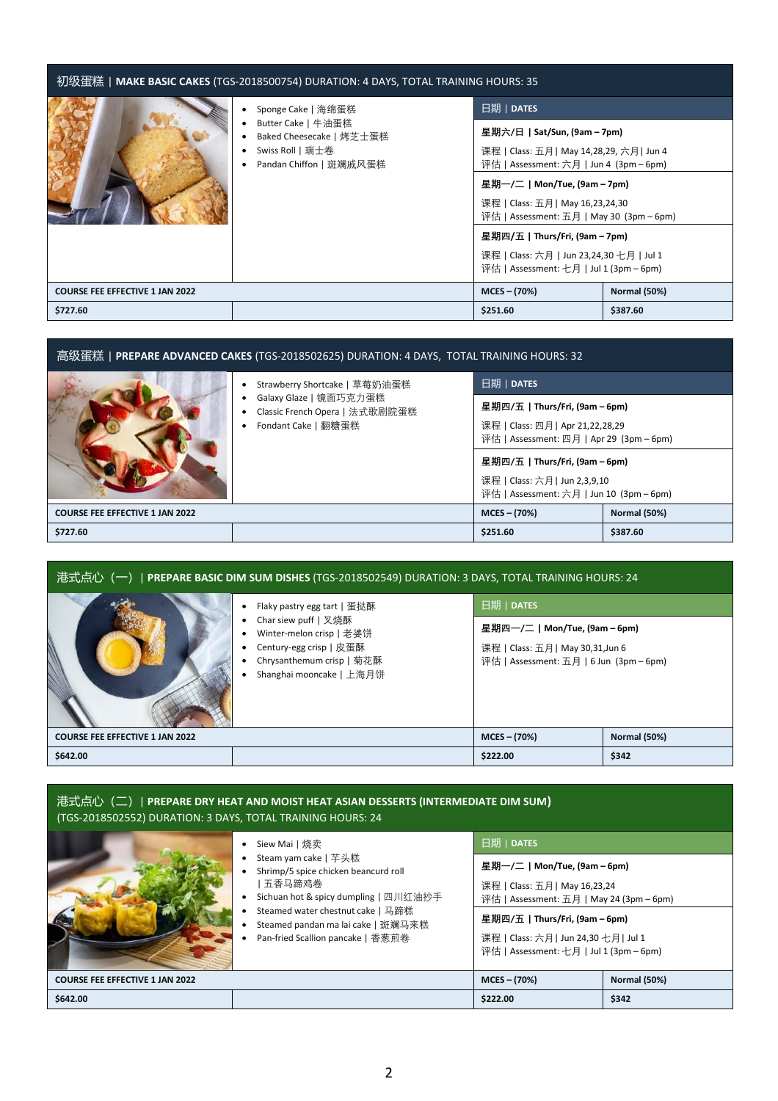| 初级蛋糕   <b>MAKE BASIC CAKES</b> (TGS-2018500754) DURATION: 4 DAYS, TOTAL TRAINING HOURS: 35 |                                                                                               |                                                                                                                                                                                                                                                                                                                                                                    |                     |  |
|--------------------------------------------------------------------------------------------|-----------------------------------------------------------------------------------------------|--------------------------------------------------------------------------------------------------------------------------------------------------------------------------------------------------------------------------------------------------------------------------------------------------------------------------------------------------------------------|---------------------|--|
|                                                                                            | Sponge Cake   海绵蛋糕                                                                            | 日期   DATES                                                                                                                                                                                                                                                                                                                                                         |                     |  |
|                                                                                            | Butter Cake   牛油蛋糕<br>Baked Cheesecake   烤芝士蛋糕<br>Swiss Roll   瑞士卷<br>Pandan Chiffon   斑斓戚风蛋糕 | 星期六/日   Sat/Sun, (9am – 7pm)<br>课程   Class: 五月   May 14,28,29, 六月   Jun 4<br>评估   Assessment: 六月   Jun 4 (3pm – 6pm)<br>星期一/二   Mon/Tue, (9am - 7pm)<br>课程   Class: 五月   May 16,23,24,30<br>评估   Assessment: 五月   May 30 (3pm – 6pm)<br>星期四/五   Thurs/Fri, (9am – 7pm)<br>课程   Class: 六月   Jun 23,24,30 七月   Jul 1<br>评估   Assessment: $\pm$ 月   Jul 1 (3pm – 6pm) |                     |  |
| <b>COURSE FEE EFFECTIVE 1 JAN 2022</b>                                                     |                                                                                               | $MCES - (70%)$                                                                                                                                                                                                                                                                                                                                                     | <b>Normal (50%)</b> |  |
| \$727.60                                                                                   |                                                                                               | \$251.60                                                                                                                                                                                                                                                                                                                                                           | \$387.60            |  |

| _高级蛋糕  <b>PREPARE ADVANCED CAKES</b> (TGS-2018502625) DURATION: 4 DAYS,  TOTAL TRAINING HOURS: 32 |                                                                                                                       |                                                                              |          |  |
|---------------------------------------------------------------------------------------------------|-----------------------------------------------------------------------------------------------------------------------|------------------------------------------------------------------------------|----------|--|
|                                                                                                   | Strawberry Shortcake   草莓奶油蛋糕<br>Galaxy Glaze   镜面巧克力蛋糕<br>٠<br>Classic French Opera   法式歌剧院蛋糕<br>Fondant Cake   翻糖蛋糕 | 日期   DATES                                                                   |          |  |
|                                                                                                   |                                                                                                                       | 星期四/五   Thurs/Fri, (9am – 6pm)                                               |          |  |
|                                                                                                   |                                                                                                                       | 课程   Class: 四月   Apr 21,22,28,29<br>评估   Assessment: 四月   Apr 29 (3pm – 6pm) |          |  |
|                                                                                                   |                                                                                                                       | 星期四/五   Thurs/Fri, (9am – 6pm)                                               |          |  |
|                                                                                                   |                                                                                                                       | 课程   Class: 六月   Jun 2,3,9,10<br>评估   Assessment: 六月   Jun 10 (3pm – 6pm)    |          |  |
| $MCES - (70%)$<br><b>COURSE FEE EFFECTIVE 1 JAN 2022</b>                                          |                                                                                                                       | <b>Normal (50%)</b>                                                          |          |  |
| \$727.60                                                                                          |                                                                                                                       | \$251.60                                                                     | \$387.60 |  |

| 港式点心(一)  <b>PREPARE BASIC DIM SUM DISHES</b> (TGS-2018502549) DURATION: 3 DAYS, TOTAL TRAINING HOURS: 24                                                            |                                                                                                                            |                |                     |
|---------------------------------------------------------------------------------------------------------------------------------------------------------------------|----------------------------------------------------------------------------------------------------------------------------|----------------|---------------------|
| Flaky pastry egg tart   蛋挞酥<br>Char siew puff   叉烧酥<br>Winter-melon crisp   老婆饼<br>Century-egg crisp   皮蛋酥<br>Chrysanthemum crisp   菊花酥<br>Shanghai mooncake   上海月饼 | 日期   DATES<br>星期四一/二   Mon/Tue, (9am – 6pm)<br>课程   Class: 五月   May 30,31,Jun 6<br>评估   Assessment: 五月   6 Jun (3pm – 6pm) |                |                     |
| <b>COURSE FEE EFFECTIVE 1 JAN 2022</b>                                                                                                                              |                                                                                                                            | $MCES - (70%)$ | <b>Normal (50%)</b> |
| \$642.00                                                                                                                                                            |                                                                                                                            | \$222.00       | \$342               |

## 港式点心(二)| **PREPARE DRY HEAT AND MOIST HEAT ASIAN DESSERTS (INTERMEDIATE DIM SUM)**  (TGS-2018502552) DURATION: 3 DAYS, TOTAL TRAINING HOURS: 24

|                                        | Siew Mai丨烧卖                                                                                                                                                                                                                     | 日期   DATES                                                                                                                                                                                                                     |                     |
|----------------------------------------|---------------------------------------------------------------------------------------------------------------------------------------------------------------------------------------------------------------------------------|--------------------------------------------------------------------------------------------------------------------------------------------------------------------------------------------------------------------------------|---------------------|
|                                        | Steam yam cake   芊头糕<br>Shrimp/5 spice chicken beancurd roll<br>五香马蹄鸡卷<br>Sichuan hot & spicy dumpling   四川红油抄手<br>Steamed water chestnut cake   马蹄糕<br>Steamed pandan ma lai cake   斑斓马来糕<br>Pan-fried Scallion pancake   香葱煎卷 | 星期一/二   Mon/Tue, (9am – 6pm)<br>课程   Class: 五月  May 16,23,24<br>评估   Assessment: 五月   May 24 (3pm – 6pm)<br>星期四/五   Thurs/Fri, (9am – 6pm)<br>课程   Class: 六月   Jun 24,30 七月   Jul 1<br>评估   Assessment: 七月   Jul 1 (3pm – 6pm) |                     |
| <b>COURSE FEE EFFECTIVE 1 JAN 2022</b> |                                                                                                                                                                                                                                 | $MCES - (70%)$                                                                                                                                                                                                                 | <b>Normal (50%)</b> |
| \$642.00                               |                                                                                                                                                                                                                                 | \$222.00                                                                                                                                                                                                                       | \$342               |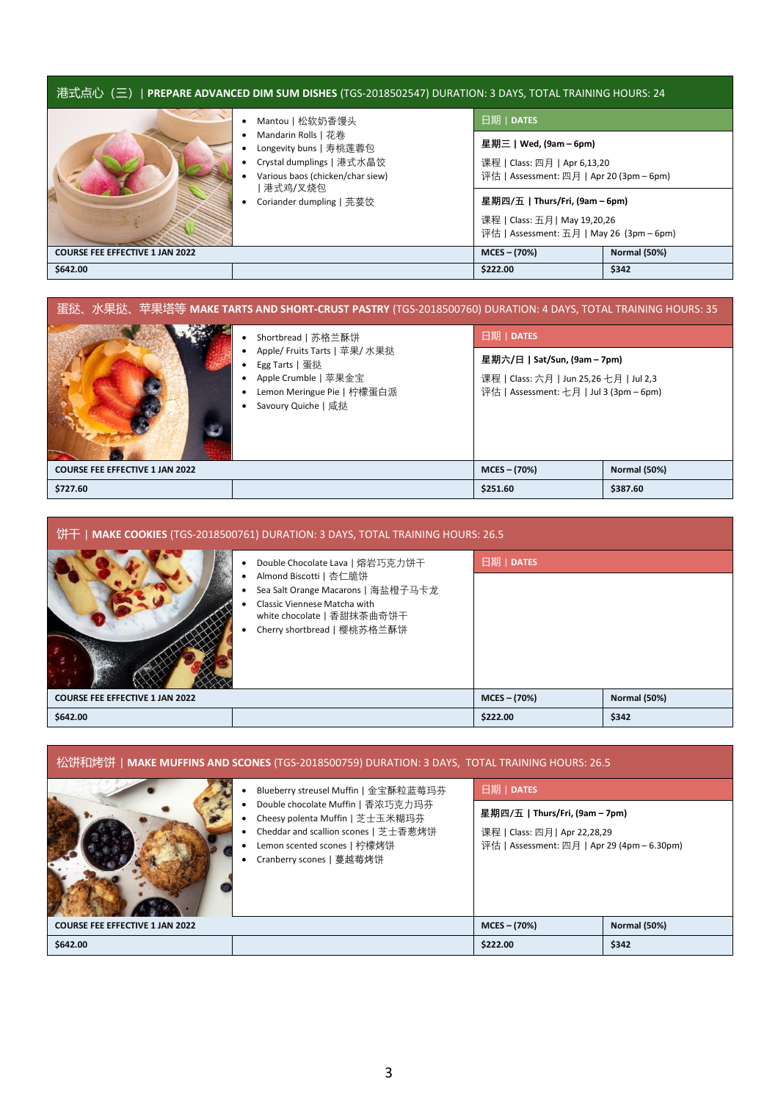| 港式点心(三)  <b>PREPARE ADVANCED DIM SUM DISHES</b> (TGS-2018502547) DURATION: 3 DAYS, TOTAL TRAINING HOURS: 24 |                                                                                                                |                                                                                                             |       |  |
|-------------------------------------------------------------------------------------------------------------|----------------------------------------------------------------------------------------------------------------|-------------------------------------------------------------------------------------------------------------|-------|--|
|                                                                                                             | Mantou   松软奶香馒头                                                                                                | 日期   DATES                                                                                                  |       |  |
|                                                                                                             | Mandarin Rolls   花卷<br>Longevity buns   寿桃莲蓉包<br>Crystal dumplings   港式水晶饺<br>Various baos (chicken/char siew) | 星期三   Wed, (9am – 6pm)<br>课程   Class: 四月   Apr 6,13,20<br>评估   Assessment: 四月   Apr 20 (3pm – 6pm)          |       |  |
| 港式鸡/叉烧包<br>Coriander dumpling   芫荽饺                                                                         |                                                                                                                | 星期四/五   Thurs/Fri, (9am – 6pm)<br>课程   Class: 五月   May 19,20,26<br>评估   Assessment: 五月   May 26 (3pm – 6pm) |       |  |
| <b>Normal (50%)</b><br>$MCES - (70%)$<br><b>COURSE FEE EFFECTIVE 1 JAN 2022</b>                             |                                                                                                                |                                                                                                             |       |  |
| \$642.00                                                                                                    |                                                                                                                | \$222.00                                                                                                    | \$342 |  |

| 蛋挞、水果挞、苹果塔等 <b>MAKE TARTS AND SHORT-CRUST PASTRY</b> (TGS-2018500760) DURATION: 4 DAYS, TOTAL TRAINING HOURS: 35 |                                                                                                                              |                                                                                                                    |                     |  |
|------------------------------------------------------------------------------------------------------------------|------------------------------------------------------------------------------------------------------------------------------|--------------------------------------------------------------------------------------------------------------------|---------------------|--|
|                                                                                                                  | Shortbread   苏格兰酥饼                                                                                                           | 日期   DATES                                                                                                         |                     |  |
|                                                                                                                  | Apple/ Fruits Tarts   苹果/ 水果挞<br>Egg Tarts   蛋挞<br>Apple Crumble   苹果金宝<br>Lemon Meringue Pie   柠檬蛋白派<br>Savoury Quiche   咸挞 | 星期六/日   Sat/Sun, (9am – 7pm)<br>课程   Class: 六月   Jun 25,26 七月   Jul 2,3<br>评估   Assessment: 七月   Jul 3 (3pm – 6pm) |                     |  |
| <b>COURSE FEE EFFECTIVE 1 JAN 2022</b>                                                                           |                                                                                                                              | $MCES - (70%)$                                                                                                     | <b>Normal (50%)</b> |  |
| \$727.60                                                                                                         |                                                                                                                              | \$251.60                                                                                                           | \$387.60            |  |

| 饼干   MAKE COOKIES (TGS-2018500761) DURATION: 3 DAYS, TOTAL TRAINING HOURS: 26.5 |                                                                                                                                                                                              |                |                     |
|---------------------------------------------------------------------------------|----------------------------------------------------------------------------------------------------------------------------------------------------------------------------------------------|----------------|---------------------|
|                                                                                 | Double Chocolate Lava   熔岩巧克力饼干<br>Almond Biscotti   杏仁脆饼<br>Sea Salt Orange Macarons   海盐橙子马卡龙<br>Classic Viennese Matcha with<br>white chocolate   香甜抹茶曲奇饼干<br>Cherry shortbread   樱桃苏格兰酥饼 | 日期   DATES     |                     |
| <b>COURSE FEE EFFECTIVE 1 JAN 2022</b>                                          |                                                                                                                                                                                              | $MCES - (70%)$ | <b>Normal (50%)</b> |
| \$642.00                                                                        |                                                                                                                                                                                              | \$222.00       | \$342               |

| _松饼和烤饼   <b>MAKE MUFFINS AND SCONES</b> (TGS-2018500759) DURATION: 3 DAYS,  TOTAL TRAINING HOURS: 26.5 |                                                                                                                                                                                                                 |                                                                                                                              |                     |  |
|--------------------------------------------------------------------------------------------------------|-----------------------------------------------------------------------------------------------------------------------------------------------------------------------------------------------------------------|------------------------------------------------------------------------------------------------------------------------------|---------------------|--|
|                                                                                                        | Blueberry streusel Muffin   金宝酥粒蓝莓玛芬<br>Double chocolate Muffin   香浓巧克力玛芬<br>Cheesy polenta Muffin   芝士玉米糊玛芬<br>Cheddar and scallion scones   芝士香葱烤饼<br>Lemon scented scones   柠檬烤饼<br>Cranberry scones   蔓越莓烤饼 | 日期   DATES<br>星期四/五   Thurs/Fri, (9am – 7pm)<br>课程   Class: 四月   Apr 22,28,29<br>评估   Assessment: 四月   Apr 29 (4pm – 6.30pm) |                     |  |
| <b>COURSE FEE EFFECTIVE 1 JAN 2022</b>                                                                 |                                                                                                                                                                                                                 | $MCES - (70%)$                                                                                                               | <b>Normal (50%)</b> |  |
| \$642.00                                                                                               |                                                                                                                                                                                                                 | \$222.00                                                                                                                     | \$342               |  |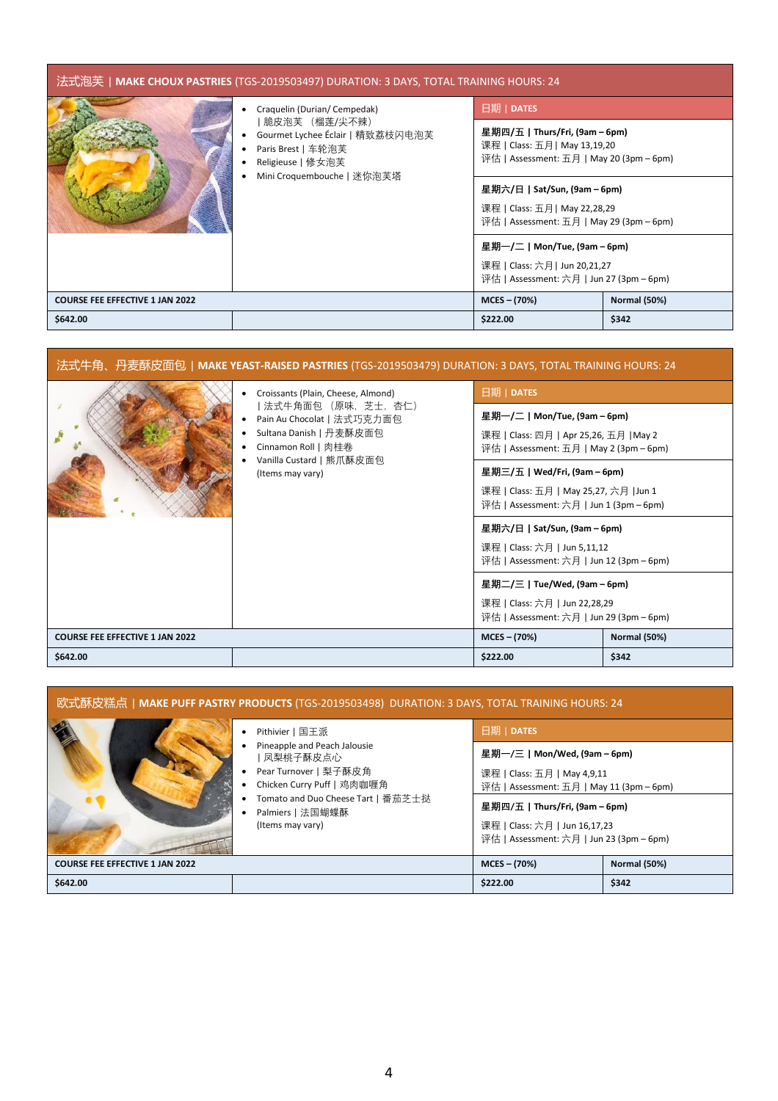| 法式泡芙丨 <b>MAKE CHOUX PASTRIES</b> (TGS-2019503497) DURATION: 3 DAYS, TOTAL TRAINING HOURS: 24 |                                                                                                                                                           |                                                                                                             |                     |
|----------------------------------------------------------------------------------------------|-----------------------------------------------------------------------------------------------------------------------------------------------------------|-------------------------------------------------------------------------------------------------------------|---------------------|
|                                                                                              | Craquelin (Durian/Cempedak)<br>脆皮泡芙 (榴莲/尖不辣)<br>Gourmet Lychee Éclair   精致荔枝闪电泡芙<br>Paris Brest   车轮泡芙<br>Religieuse   修女泡芙<br>Mini Croquembouche   迷你泡芙塔 | 日期   DATES                                                                                                  |                     |
|                                                                                              |                                                                                                                                                           | 星期四/五   Thurs/Fri, (9am – 6pm)<br>课程   Class: 五月   May 13,19,20<br>评估   Assessment: 五月   May 20 (3pm – 6pm) |                     |
|                                                                                              |                                                                                                                                                           | 星期六/日   Sat/Sun, (9am – 6pm)<br>课程   Class: 五月   May 22,28,29<br>评估   Assessment: 五月   May 29 (3pm – 6pm)   |                     |
|                                                                                              |                                                                                                                                                           | 星期一/二   Mon/Tue, (9am – 6pm)                                                                                |                     |
|                                                                                              |                                                                                                                                                           | 课程   Class: 六月   Jun 20,21,27<br>评估   Assessment: 六月   Jun 27 (3pm – 6pm)                                   |                     |
| <b>COURSE FEE EFFECTIVE 1 JAN 2022</b>                                                       |                                                                                                                                                           | $MCES - (70%)$                                                                                              | <b>Normal (50%)</b> |
| \$642.00                                                                                     |                                                                                                                                                           | \$222.00                                                                                                    | \$342               |

| 法式牛角、丹麦酥皮面包 MAKE YEAST-RAISED PASTRIES (TGS-2019503479) DURATION: 3 DAYS, TOTAL TRAINING HOURS: 24 |                                                                                                                                                                                           |                                                                                                                                                                                                                                                                                                                                                                                                                                                                            |                              |
|----------------------------------------------------------------------------------------------------|-------------------------------------------------------------------------------------------------------------------------------------------------------------------------------------------|----------------------------------------------------------------------------------------------------------------------------------------------------------------------------------------------------------------------------------------------------------------------------------------------------------------------------------------------------------------------------------------------------------------------------------------------------------------------------|------------------------------|
|                                                                                                    | Croissants (Plain, Cheese, Almond)<br>  法式牛角面包 (原味,芝士,杏仁)<br>Pain Au Chocolat   法式巧克力面包<br>Sultana Danish   丹麦酥皮面包<br>Cinnamon Roll   肉桂卷<br>Vanilla Custard   熊爪酥皮面包<br>(Items may vary) | 日期   DATES<br>星期一/二   Mon/Tue, (9am – 6pm)<br>课程   Class: 四月   Apr 25,26, 五月  May 2<br>评估   Assessment: 五月   May 2 (3pm – 6pm)<br>星期三/五   Wed/Fri, (9am – 6pm)<br>课程   Class: 五月   May 25,27, 六月   Jun 1<br>评估   Assessment: 六月   Jun 1 (3pm – 6pm)<br>星期六/日丨Sat/Sun, (9am – 6pm)<br>课程   Class: 六月   Jun 5,11,12<br>评估   Assessment: 六月   Jun 12 (3pm – 6pm)<br>星期二/三   Tue/Wed, (9am – 6pm)<br>课程   Class: 六月   Jun 22,28,29<br>评估   Assessment: 六月   Jun 29 (3pm – 6pm) |                              |
| <b>COURSE FEE EFFECTIVE 1 JAN 2022</b><br>\$642.00                                                 |                                                                                                                                                                                           | $MCES - (70%)$<br>\$222.00                                                                                                                                                                                                                                                                                                                                                                                                                                                 | <b>Normal (50%)</b><br>\$342 |

| 欧式酥皮糕点   <b>MAKE PUFF PASTRY PRODUCTS</b> (TGS-2019503498)  DURATION: 3 DAYS, TOTAL TRAINING HOURS: 24 |                                                                                                                                                                                                  |                                                                                                                                                                                          |                     |
|--------------------------------------------------------------------------------------------------------|--------------------------------------------------------------------------------------------------------------------------------------------------------------------------------------------------|------------------------------------------------------------------------------------------------------------------------------------------------------------------------------------------|---------------------|
|                                                                                                        | Pithivier丨国王派<br>Pineapple and Peach Jalousie<br>  凤梨桃子酥皮点心<br>Pear Turnover   梨子酥皮角<br>Chicken Curry Puff   鸡肉咖喱角<br>Tomato and Duo Cheese Tart   番茄芝士挞<br>Palmiers   法国蝴蝶酥<br>(Items may vary) | 日期   DATES<br>星期一/三   Mon/Wed, (9am – 6pm)<br>课程   Class: 五月   May 4,9,11<br>评估   Assessment: 五月   May 11 (3pm – 6pm)<br>星期四/五   Thurs/Fri, (9am – 6pm)<br>课程   Class: 六月   Jun 16,17,23 |                     |
| <b>COURSE FEE EFFECTIVE 1 JAN 2022</b>                                                                 |                                                                                                                                                                                                  | 评估   Assessment: 六月   Jun 23 (3pm – 6pm)<br>$MCES - (70%)$                                                                                                                               | <b>Normal (50%)</b> |
| \$642.00                                                                                               |                                                                                                                                                                                                  | \$222.00                                                                                                                                                                                 | \$342               |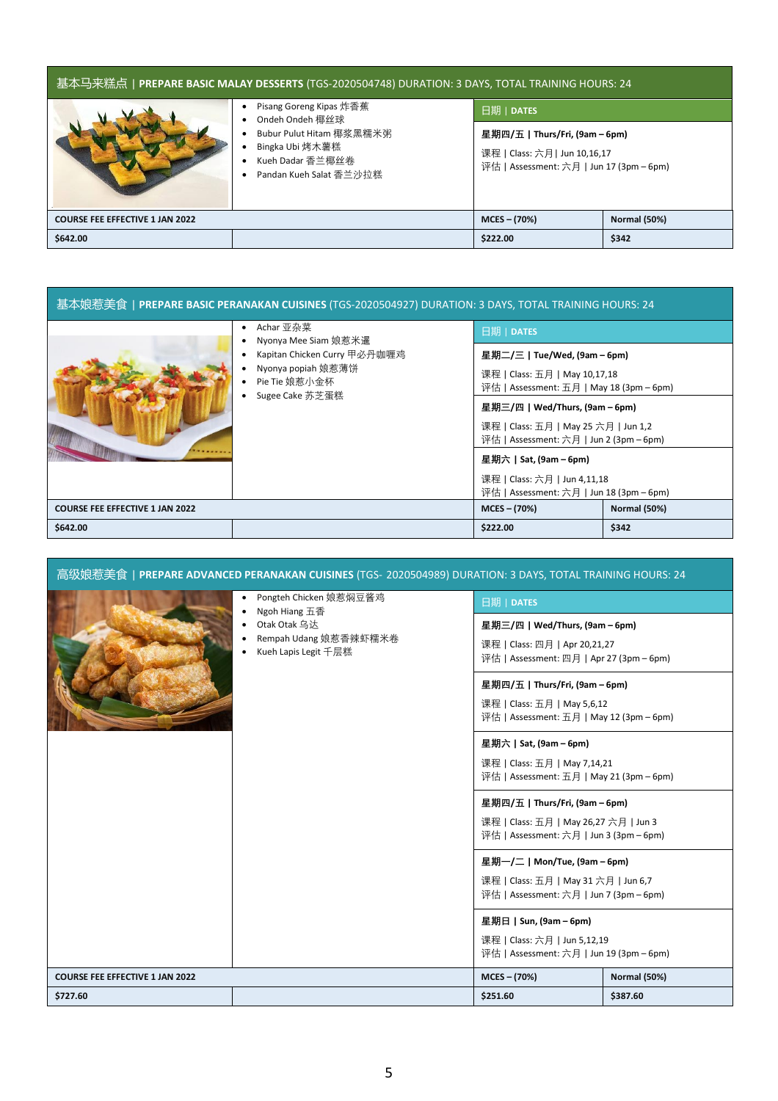| _基本马来糕点 PREPARE BASIC MALAY DESSERTS (TGS-2020504748) DURATION: 3 DAYS, TOTAL TRAINING HOURS: 24 |                                                                                                                                               |                                                                                                             |                     |
|--------------------------------------------------------------------------------------------------|-----------------------------------------------------------------------------------------------------------------------------------------------|-------------------------------------------------------------------------------------------------------------|---------------------|
|                                                                                                  | Pisang Goreng Kipas 炸香蕉<br>Ondeh Ondeh 椰丝球<br>٠<br>Bubur Pulut Hitam 椰浆黑糯米粥<br>Bingka Ubi 烤木薯糕<br>Kueh Dadar 香兰椰丝卷<br>Pandan Kueh Salat 香兰沙拉糕 | 日期   DATES                                                                                                  |                     |
|                                                                                                  |                                                                                                                                               | 星期四/五   Thurs/Fri, (9am – 6pm)<br>课程   Class: 六月   Jun 10,16,17<br>评估   Assessment: 六月   Jun 17 (3pm – 6pm) |                     |
| <b>COURSE FEE EFFECTIVE 1 JAN 2022</b>                                                           |                                                                                                                                               | $MCES - (70%)$                                                                                              | <b>Normal (50%)</b> |
| \$642.00                                                                                         |                                                                                                                                               | \$222.00                                                                                                    | \$342               |

| 基本娘惹美食丨 <b>PREPARE BASIC PERANAKAN CUISINES</b> (TGS-2020504927) DURATION: 3 DAYS, TOTAL TRAINING HOURS: 24 |                                                                                                                             |                                                                                                                                                                                                                                                                                                                                      |                     |
|-------------------------------------------------------------------------------------------------------------|-----------------------------------------------------------------------------------------------------------------------------|--------------------------------------------------------------------------------------------------------------------------------------------------------------------------------------------------------------------------------------------------------------------------------------------------------------------------------------|---------------------|
|                                                                                                             | Achar 亚杂菜<br>Nyonya Mee Siam 娘惹米暹<br>Kapitan Chicken Curry 甲必丹咖喱鸡<br>Nyonya popiah 娘惹薄饼<br>Pie Tie 娘惹小金杯<br>Sugee Cake 苏芝蛋糕 | 日期   DATES                                                                                                                                                                                                                                                                                                                           |                     |
|                                                                                                             |                                                                                                                             | 星期二/三   Tue/Wed, (9am – 6pm)<br>课程   Class: 五月   May 10,17,18<br>评估   Assessment: 五月   May 18 (3pm – 6pm)<br>星期三/四   Wed/Thurs, (9am – 6pm)<br>课程   Class: 五月   May 25 六月   Jun 1,2<br>评估   Assessment: 六月   Jun 2 (3pm – 6pm)<br>星期六   Sat, (9am – 6pm)<br>课程   Class: 六月   Jun 4,11,18<br>评估   Assessment: 六月   Jun 18 (3pm - 6pm) |                     |
| <b>COURSE FEE EFFECTIVE 1 JAN 2022</b>                                                                      |                                                                                                                             | $MCES - (70%)$                                                                                                                                                                                                                                                                                                                       | <b>Normal (50%)</b> |
| \$642.00                                                                                                    |                                                                                                                             | \$222.00                                                                                                                                                                                                                                                                                                                             | \$342               |

| 高级娘惹美食  <b>PREPARE ADVANCED PERANAKAN CUISINES</b> (TGS- 2020504989) DURATION: 3 DAYS, TOTAL TRAINING HOURS: 24 |                                                               |                                                                                  |                     |
|-----------------------------------------------------------------------------------------------------------------|---------------------------------------------------------------|----------------------------------------------------------------------------------|---------------------|
|                                                                                                                 | Pongteh Chicken 娘惹焖豆酱鸡<br>٠<br>Ngoh Hiang 五香                  | 日期   DATES                                                                       |                     |
|                                                                                                                 | Otak Otak 乌达<br>Rempah Udang 娘惹香辣虾糯米卷<br>Kueh Lapis Legit 千层糕 | 星期三/四   Wed/Thurs, (9am – 6pm)                                                   |                     |
|                                                                                                                 |                                                               | 课程   Class: 四月   Apr 20,21,27<br>评估   Assessment: 四月   Apr 27 (3pm – 6pm)        |                     |
|                                                                                                                 |                                                               | 星期四/五   Thurs/Fri, (9am - 6pm)                                                   |                     |
|                                                                                                                 |                                                               | 课程   Class: 五月   May 5,6,12<br>评估   Assessment: 五月   May 12 (3pm – 6pm)          |                     |
|                                                                                                                 |                                                               | 星期六   Sat, (9am - 6pm)                                                           |                     |
|                                                                                                                 |                                                               | 课程   Class: 五月   May 7,14,21<br>评估   Assessment: 五月   May 21 (3pm - 6pm)         |                     |
|                                                                                                                 |                                                               | 星期四/五   Thurs/Fri, (9am - 6pm)                                                   |                     |
|                                                                                                                 |                                                               | 课程   Class: 五月   May 26,27 六月   Jun 3<br>评估   Assessment: 六月   Jun 3 (3pm - 6pm) |                     |
|                                                                                                                 |                                                               | 星期一/二   Mon/Tue, (9am - 6pm)                                                     |                     |
|                                                                                                                 |                                                               | 课程   Class: 五月   May 31 六月   Jun 6,7<br>评估   Assessment: 六月   Jun 7 (3pm - 6pm)  |                     |
|                                                                                                                 |                                                               | 星期日   Sun, (9am - 6pm)                                                           |                     |
|                                                                                                                 |                                                               | 课程   Class: 六月   Jun 5,12,19<br>评估   Assessment: 六月   Jun 19 (3pm - 6pm)         |                     |
| <b>COURSE FEE EFFECTIVE 1 JAN 2022</b>                                                                          |                                                               | $MCES - (70%)$                                                                   | <b>Normal (50%)</b> |
| \$727.60                                                                                                        |                                                               | \$251.60                                                                         | \$387.60            |